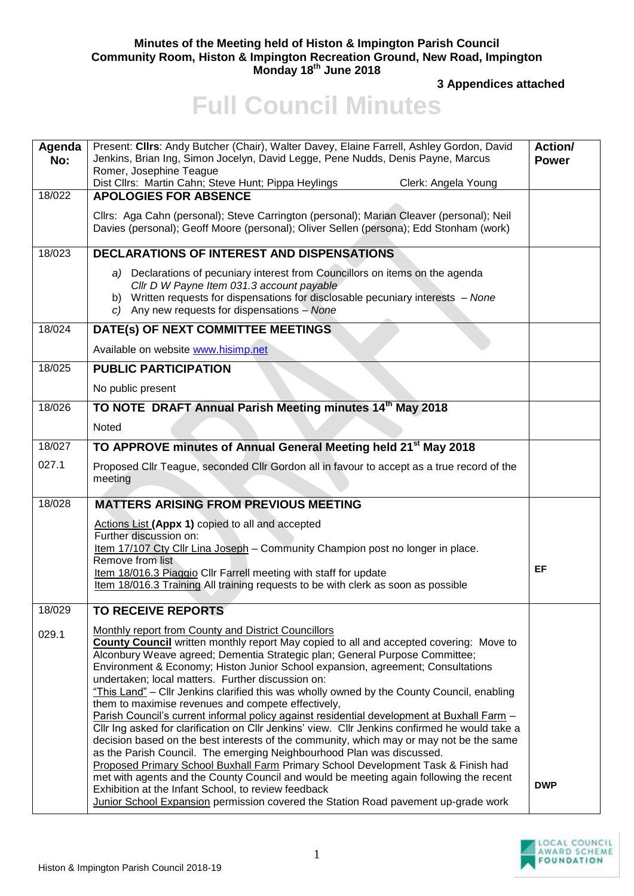## **Minutes of the Meeting held of Histon & Impington Parish Council Community Room, Histon & Impington Recreation Ground, New Road, Impington Monday 18 th June 2018**

**3 Appendices attached** 

## **Full Council Minutes**

| Agenda<br>No: | Present: Clirs: Andy Butcher (Chair), Walter Davey, Elaine Farrell, Ashley Gordon, David<br>Jenkins, Brian Ing, Simon Jocelyn, David Legge, Pene Nudds, Denis Payne, Marcus<br>Romer, Josephine Teague<br>Dist Cllrs: Martin Cahn; Steve Hunt; Pippa Heylings<br>Clerk: Angela Young                                                                                                                                                                                                                                                                                                                                                                                                                                                                                                                                                                                                                                                                                                                                                                                               | Action/<br><b>Power</b> |
|---------------|------------------------------------------------------------------------------------------------------------------------------------------------------------------------------------------------------------------------------------------------------------------------------------------------------------------------------------------------------------------------------------------------------------------------------------------------------------------------------------------------------------------------------------------------------------------------------------------------------------------------------------------------------------------------------------------------------------------------------------------------------------------------------------------------------------------------------------------------------------------------------------------------------------------------------------------------------------------------------------------------------------------------------------------------------------------------------------|-------------------------|
| 18/022        | <b>APOLOGIES FOR ABSENCE</b><br>Cllrs: Aga Cahn (personal); Steve Carrington (personal); Marian Cleaver (personal); Neil<br>Davies (personal); Geoff Moore (personal); Oliver Sellen (persona); Edd Stonham (work)                                                                                                                                                                                                                                                                                                                                                                                                                                                                                                                                                                                                                                                                                                                                                                                                                                                                 |                         |
| 18/023        | <b>DECLARATIONS OF INTEREST AND DISPENSATIONS</b>                                                                                                                                                                                                                                                                                                                                                                                                                                                                                                                                                                                                                                                                                                                                                                                                                                                                                                                                                                                                                                  |                         |
|               | a) Declarations of pecuniary interest from Councillors on items on the agenda<br>Cllr D W Payne Item 031.3 account payable<br>b) Written requests for dispensations for disclosable pecuniary interests - None<br>c) Any new requests for dispensations $-$ None                                                                                                                                                                                                                                                                                                                                                                                                                                                                                                                                                                                                                                                                                                                                                                                                                   |                         |
| 18/024        | DATE(s) OF NEXT COMMITTEE MEETINGS                                                                                                                                                                                                                                                                                                                                                                                                                                                                                                                                                                                                                                                                                                                                                                                                                                                                                                                                                                                                                                                 |                         |
|               | Available on website www.hisimp.net                                                                                                                                                                                                                                                                                                                                                                                                                                                                                                                                                                                                                                                                                                                                                                                                                                                                                                                                                                                                                                                |                         |
| 18/025        | <b>PUBLIC PARTICIPATION</b>                                                                                                                                                                                                                                                                                                                                                                                                                                                                                                                                                                                                                                                                                                                                                                                                                                                                                                                                                                                                                                                        |                         |
|               | No public present                                                                                                                                                                                                                                                                                                                                                                                                                                                                                                                                                                                                                                                                                                                                                                                                                                                                                                                                                                                                                                                                  |                         |
| 18/026        | TO NOTE DRAFT Annual Parish Meeting minutes 14th May 2018                                                                                                                                                                                                                                                                                                                                                                                                                                                                                                                                                                                                                                                                                                                                                                                                                                                                                                                                                                                                                          |                         |
|               | Noted                                                                                                                                                                                                                                                                                                                                                                                                                                                                                                                                                                                                                                                                                                                                                                                                                                                                                                                                                                                                                                                                              |                         |
| 18/027        | TO APPROVE minutes of Annual General Meeting held 21 <sup>st</sup> May 2018                                                                                                                                                                                                                                                                                                                                                                                                                                                                                                                                                                                                                                                                                                                                                                                                                                                                                                                                                                                                        |                         |
| 027.1         | Proposed Cllr Teague, seconded Cllr Gordon all in favour to accept as a true record of the<br>meeting                                                                                                                                                                                                                                                                                                                                                                                                                                                                                                                                                                                                                                                                                                                                                                                                                                                                                                                                                                              |                         |
| 18/028        | <b>MATTERS ARISING FROM PREVIOUS MEETING</b>                                                                                                                                                                                                                                                                                                                                                                                                                                                                                                                                                                                                                                                                                                                                                                                                                                                                                                                                                                                                                                       |                         |
|               | Actions List (Appx 1) copied to all and accepted<br>Further discussion on:<br>Item 17/107 Cty Cllr Lina Joseph - Community Champion post no longer in place.<br>Remove from list<br>Item 18/016.3 Piaggio Cllr Farrell meeting with staff for update<br>Item 18/016.3 Training All training requests to be with clerk as soon as possible                                                                                                                                                                                                                                                                                                                                                                                                                                                                                                                                                                                                                                                                                                                                          | EF                      |
| 18/029        | <b>TO RECEIVE REPORTS</b>                                                                                                                                                                                                                                                                                                                                                                                                                                                                                                                                                                                                                                                                                                                                                                                                                                                                                                                                                                                                                                                          |                         |
| 029.1         | <b>Monthly report from County and District Councillors</b><br>County Council written monthly report May copied to all and accepted covering: Move to<br>Alconbury Weave agreed; Dementia Strategic plan; General Purpose Committee;<br>Environment & Economy; Histon Junior School expansion, agreement; Consultations<br>undertaken; local matters. Further discussion on:<br>"This Land" – Cllr Jenkins clarified this was wholly owned by the County Council, enabling<br>them to maximise revenues and compete effectively,<br>Parish Council's current informal policy against residential development at Buxhall Farm -<br>Cllr Ing asked for clarification on Cllr Jenkins' view. Cllr Jenkins confirmed he would take a<br>decision based on the best interests of the community, which may or may not be the same<br>as the Parish Council. The emerging Neighbourhood Plan was discussed.<br>Proposed Primary School Buxhall Farm Primary School Development Task & Finish had<br>met with agents and the County Council and would be meeting again following the recent | <b>DWP</b>              |
|               | Exhibition at the Infant School, to review feedback<br>Junior School Expansion permission covered the Station Road pavement up-grade work                                                                                                                                                                                                                                                                                                                                                                                                                                                                                                                                                                                                                                                                                                                                                                                                                                                                                                                                          |                         |

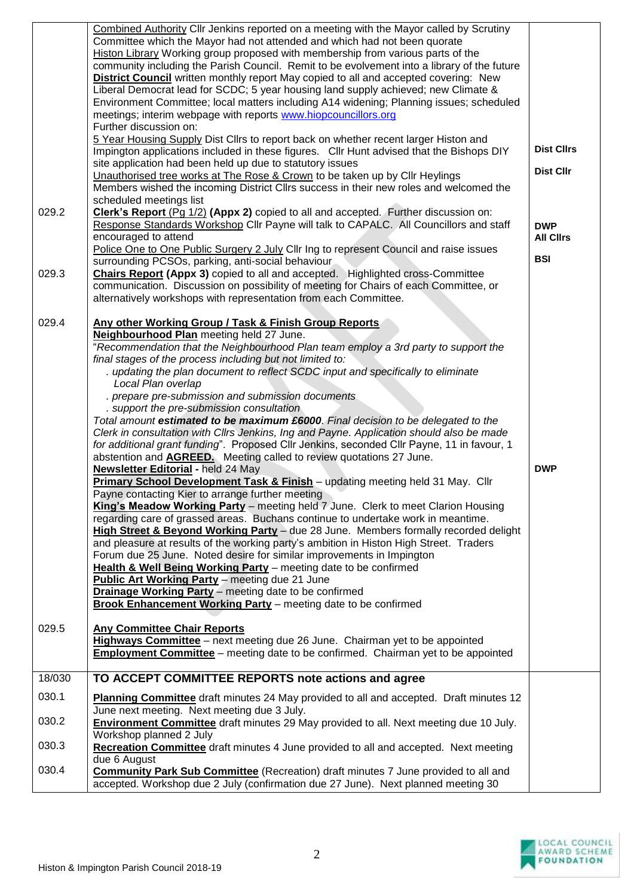| 029.2<br>029.3<br>029.4 | Combined Authority Cllr Jenkins reported on a meeting with the Mayor called by Scrutiny<br>Committee which the Mayor had not attended and which had not been quorate<br>Histon Library Working group proposed with membership from various parts of the<br>community including the Parish Council. Remit to be evolvement into a library of the future<br><b>District Council</b> written monthly report May copied to all and accepted covering: New<br>Liberal Democrat lead for SCDC; 5 year housing land supply achieved; new Climate &<br>Environment Committee; local matters including A14 widening; Planning issues; scheduled<br>meetings; interim webpage with reports www.hiopcouncillors.org<br>Further discussion on:<br>5 Year Housing Supply Dist Cllrs to report back on whether recent larger Histon and<br>Impington applications included in these figures. Cllr Hunt advised that the Bishops DIY<br>site application had been held up due to statutory issues<br>Unauthorised tree works at The Rose & Crown to be taken up by Cllr Heylings<br>Members wished the incoming District Cllrs success in their new roles and welcomed the<br>scheduled meetings list<br>Clerk's Report (Pg 1/2) (Appx 2) copied to all and accepted. Further discussion on:<br>Response Standards Workshop Cllr Payne will talk to CAPALC. All Councillors and staff<br>encouraged to attend<br>Police One to One Public Surgery 2 July Cllr Ing to represent Council and raise issues<br>surrounding PCSOs, parking, anti-social behaviour<br><b>Chairs Report (Appx 3)</b> copied to all and accepted. Highlighted cross-Committee<br>communication. Discussion on possibility of meeting for Chairs of each Committee, or<br>alternatively workshops with representation from each Committee.<br>Any other Working Group / Task & Finish Group Reports<br>Neighbourhood Plan meeting held 27 June.<br>"Recommendation that the Neighbourhood Plan team employ a 3rd party to support the<br>final stages of the process including but not limited to:<br>. updating the plan document to reflect SCDC input and specifically to eliminate<br>Local Plan overlap<br>. prepare pre-submission and submission documents<br>. support the pre-submission consultation<br>Total amount estimated to be maximum £6000. Final decision to be delegated to the<br>Clerk in consultation with Cllrs Jenkins, Ing and Payne. Application should also be made<br>for additional grant funding". Proposed Cllr Jenkins, seconded Cllr Payne, 11 in favour, 1<br>abstention and <b>AGREED.</b> Meeting called to review quotations 27 June.<br>Newsletter Editorial - held 24 May<br>Primary School Development Task & Finish - updating meeting held 31 May. Cllr<br>Payne contacting Kier to arrange further meeting<br>King's Meadow Working Party - meeting held 7 June. Clerk to meet Clarion Housing<br>regarding care of grassed areas. Buchans continue to undertake work in meantime.<br>High Street & Beyond Working Party - due 28 June. Members formally recorded delight<br>and pleasure at results of the working party's ambition in Histon High Street. Traders<br>Forum due 25 June. Noted desire for similar improvements in Impington | <b>Dist Cllrs</b><br><b>Dist Cllr</b><br><b>DWP</b><br><b>All Clirs</b><br><b>BSI</b><br><b>DWP</b> |
|-------------------------|--------------------------------------------------------------------------------------------------------------------------------------------------------------------------------------------------------------------------------------------------------------------------------------------------------------------------------------------------------------------------------------------------------------------------------------------------------------------------------------------------------------------------------------------------------------------------------------------------------------------------------------------------------------------------------------------------------------------------------------------------------------------------------------------------------------------------------------------------------------------------------------------------------------------------------------------------------------------------------------------------------------------------------------------------------------------------------------------------------------------------------------------------------------------------------------------------------------------------------------------------------------------------------------------------------------------------------------------------------------------------------------------------------------------------------------------------------------------------------------------------------------------------------------------------------------------------------------------------------------------------------------------------------------------------------------------------------------------------------------------------------------------------------------------------------------------------------------------------------------------------------------------------------------------------------------------------------------------------------------------------------------------------------------------------------------------------------------------------------------------------------------------------------------------------------------------------------------------------------------------------------------------------------------------------------------------------------------------------------------------------------------------------------------------------------------------------------------------------------------------------------------------------------------------------------------------------------------------------------------------------------------------------------------------------------------------------------------------------------------------------------------------------------------------------------------------------------------------------------------------------------------------------------------------------------------------------------------------------------------------------------------------------------------------------------------------------------------------------------------------------------------------------------------------------------------------------------------------------------------------------|-----------------------------------------------------------------------------------------------------|
|                         | Health & Well Being Working Party - meeting date to be confirmed<br>Public Art Working Party - meeting due 21 June<br><b>Drainage Working Party</b> - meeting date to be confirmed<br><b>Brook Enhancement Working Party</b> - meeting date to be confirmed                                                                                                                                                                                                                                                                                                                                                                                                                                                                                                                                                                                                                                                                                                                                                                                                                                                                                                                                                                                                                                                                                                                                                                                                                                                                                                                                                                                                                                                                                                                                                                                                                                                                                                                                                                                                                                                                                                                                                                                                                                                                                                                                                                                                                                                                                                                                                                                                                                                                                                                                                                                                                                                                                                                                                                                                                                                                                                                                                                                      |                                                                                                     |
| 029.5                   | <b>Any Committee Chair Reports</b><br>Highways Committee - next meeting due 26 June. Chairman yet to be appointed<br><b>Employment Committee</b> – meeting date to be confirmed. Chairman yet to be appointed                                                                                                                                                                                                                                                                                                                                                                                                                                                                                                                                                                                                                                                                                                                                                                                                                                                                                                                                                                                                                                                                                                                                                                                                                                                                                                                                                                                                                                                                                                                                                                                                                                                                                                                                                                                                                                                                                                                                                                                                                                                                                                                                                                                                                                                                                                                                                                                                                                                                                                                                                                                                                                                                                                                                                                                                                                                                                                                                                                                                                                    |                                                                                                     |
| 18/030                  | TO ACCEPT COMMITTEE REPORTS note actions and agree                                                                                                                                                                                                                                                                                                                                                                                                                                                                                                                                                                                                                                                                                                                                                                                                                                                                                                                                                                                                                                                                                                                                                                                                                                                                                                                                                                                                                                                                                                                                                                                                                                                                                                                                                                                                                                                                                                                                                                                                                                                                                                                                                                                                                                                                                                                                                                                                                                                                                                                                                                                                                                                                                                                                                                                                                                                                                                                                                                                                                                                                                                                                                                                               |                                                                                                     |
| 030.1                   | Planning Committee draft minutes 24 May provided to all and accepted. Draft minutes 12                                                                                                                                                                                                                                                                                                                                                                                                                                                                                                                                                                                                                                                                                                                                                                                                                                                                                                                                                                                                                                                                                                                                                                                                                                                                                                                                                                                                                                                                                                                                                                                                                                                                                                                                                                                                                                                                                                                                                                                                                                                                                                                                                                                                                                                                                                                                                                                                                                                                                                                                                                                                                                                                                                                                                                                                                                                                                                                                                                                                                                                                                                                                                           |                                                                                                     |
| 030.2                   | June next meeting. Next meeting due 3 July.<br><b>Environment Committee</b> draft minutes 29 May provided to all. Next meeting due 10 July.                                                                                                                                                                                                                                                                                                                                                                                                                                                                                                                                                                                                                                                                                                                                                                                                                                                                                                                                                                                                                                                                                                                                                                                                                                                                                                                                                                                                                                                                                                                                                                                                                                                                                                                                                                                                                                                                                                                                                                                                                                                                                                                                                                                                                                                                                                                                                                                                                                                                                                                                                                                                                                                                                                                                                                                                                                                                                                                                                                                                                                                                                                      |                                                                                                     |
| 030.3                   | Workshop planned 2 July<br><b>Recreation Committee</b> draft minutes 4 June provided to all and accepted. Next meeting                                                                                                                                                                                                                                                                                                                                                                                                                                                                                                                                                                                                                                                                                                                                                                                                                                                                                                                                                                                                                                                                                                                                                                                                                                                                                                                                                                                                                                                                                                                                                                                                                                                                                                                                                                                                                                                                                                                                                                                                                                                                                                                                                                                                                                                                                                                                                                                                                                                                                                                                                                                                                                                                                                                                                                                                                                                                                                                                                                                                                                                                                                                           |                                                                                                     |
| 030.4                   | due 6 August<br><b>Community Park Sub Committee</b> (Recreation) draft minutes 7 June provided to all and<br>accepted. Workshop due 2 July (confirmation due 27 June). Next planned meeting 30                                                                                                                                                                                                                                                                                                                                                                                                                                                                                                                                                                                                                                                                                                                                                                                                                                                                                                                                                                                                                                                                                                                                                                                                                                                                                                                                                                                                                                                                                                                                                                                                                                                                                                                                                                                                                                                                                                                                                                                                                                                                                                                                                                                                                                                                                                                                                                                                                                                                                                                                                                                                                                                                                                                                                                                                                                                                                                                                                                                                                                                   |                                                                                                     |